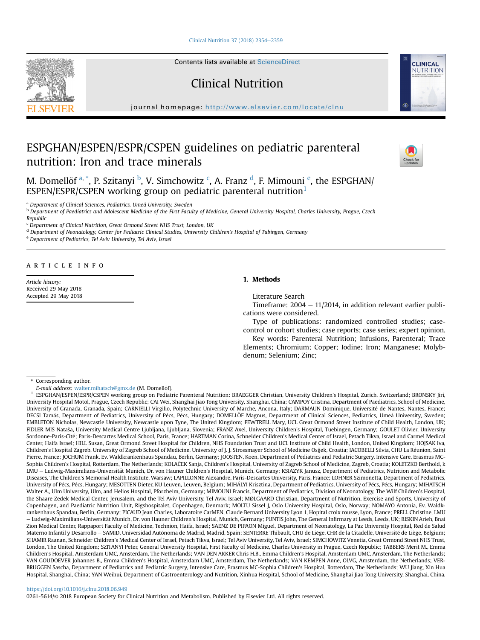[Clinical Nutrition 37 \(2018\) 2354](https://doi.org/10.1016/j.clnu.2018.06.949)-[2359](https://doi.org/10.1016/j.clnu.2018.06.949)

Contents lists available at ScienceDirect

Clinical Nutrition

journal homepage: <http://www.elsevier.com/locate/clnu>

# ESPGHAN/ESPEN/ESPR/CSPEN guidelines on pediatric parenteral nutrition: Iron and trace minerals

M. Domellöf <sup>a, \*</sup>, P. Szitanyi <sup>b</sup>, V. Simchowitz <sup>c</sup>, A. Franz <sup>d</sup>, F. Mimouni <sup>e</sup>, the ESPGHAN/ ESPEN/ESPR/CSPEN working group on pediatric parenteral nutrition<sup>1</sup>

<sup>a</sup> Department of Clinical Sciences, Pediatrics, Umeå University, Sweden

**b Department of Paediatrics and Adolescent Medicine of the First Faculty of Medicine, General University Hospital, Charles University, Prague, Czech** Republic

<sup>c</sup> Department of Clinical Nutrition, Great Ormond Street NHS Trust, London, UK

<sup>d</sup> Department of Neonatology, Center for Pediatric Clinical Studies, University Children's Hospital of Tubingen, Germany

<sup>e</sup> Department of Pediatrics, Tel Aviv University, Tel Aviv, Israel

# article info

Article history: Received 29 May 2018 Accepted 29 May 2018

# 1. Methods

Literature Search

Timeframe:  $2004 - 11/2014$ , in addition relevant earlier publications were considered.

Type of publications: randomized controlled studies; casecontrol or cohort studies; case reports; case series; expert opinion.

Key words: Parenteral Nutrition; Infusions, Parenteral; Trace Elements; Chromium; Copper; Iodine; Iron; Manganese; Molybdenum; Selenium; Zinc;

\* Corresponding author.

E-mail address: [walter.mihatsch@gmx.de](mailto:walter.mihatsch@gmx.de) (M. Domellöf).

<sup>1</sup> ESPGHAN/ESPEN/ESPR/CSPEN working group on Pediatric Parenteral Nutrition: BRAEGGER Christian, University Children's Hospital, Zurich, Switzerland; BRONSKY Jiri, University Hospital Motol, Prague, Czech Republic; CAI Wei, Shanghai Jiao Tong University, Shanghai, China; CAMPOY Cristina, Department of Paediatrics, School of Medicine, University of Granada, Granada, Spain; CARNIELLI Virgilio, Polytechnic University of Marche, Ancona, Italy; DARMAUN Dominique, Universite de Nantes, Nantes, France; - DECSI Tamás, Department of Pediatrics, University of Pécs, Pécs, Hungary; DOMELLÖF Magnus, Department of Clinical Sciences, Pediatrics, Umeå University, Sweden; EMBLETON Nicholas, Newcastle University, Newcastle upon Tyne, The United Kingdom; FEWTRELL Mary, UCL Great Ormond Street Institute of Child Health, London, UK; FIDLER MIS Natasa, University Medical Centre Ljubljana, Ljubljana, Slovenia; FRANZ Axel, University Children's Hospital, Tuebingen, Germany; GOULET Olivier, University Sordonne-Paris-Cité; Paris-Descartes Medical School, Paris, France; HARTMAN Corina, Schneider Children's Medical Center of Israel, Petach Tikva, Israel and Carmel Medical Center, Haifa Israel; HILL Susan, Great Ormond Street Hospital for Children, NHS Foundation Trust and UCL Institute of Child Health, London, United Kingdom; HOJSAK Iva, Children's Hospital Zagreb, University of Zagreb School of Medicine, University of J. J. Strossmayer School of Medicine Osijek, Croatia; IACOBELLI Silvia, CHU La Reunion, Saint - Pierre, France; JOCHUM Frank, Ev. Waldkrankenhaus Spandau, Berlin, Germany; JOOSTEN, Koen, Department of Pediatrics and Pediatric Surgery, Intensive Care, Erasmus MC-Sophia Children's Hospital, Rotterdam, The Netherlands; KOLAČEK Sanja, Children's Hospital, University of Zagreb School of Medicine, Zagreb, Croatia; KOLETZKO Berthold, k LMU - Ludwig-Maximilians-Universität Munich, Dr. von Hauner Children's Hospital, Munich, Germany; KSIAZYK Janusz, Department of Pediatrics, Nutrition and Metabolic Diseases, The Children's Memorial Health Institute. Warsaw; LAPILLONNE Alexandre, Paris-Descartes University, Paris, France; LOHNER Szimonetta, Department of Pediatrics, University of Pécs, Pécs, Hungary; MESOTTEN Dieter, KU Leuven, Leuven, Belgium; MIHÁLYI Krisztina, Department of Pediatrics, University of Pécs, Pécs, Hungary; MIHATSCH Walter A., Ulm University, Ulm, and Helios Hospital, Pforzheim, Germany; MIMOUNI Francis, Department of Pediatrics, Division of Neonatology, The Wilf Children's Hospital, the Shaare Zedek Medical Center, Jerusalem, and the Tel Aviv University, Tel Aviv, Israel; MØLGAARD Christian, Department of Nutrition, Exercise and Sports, University of Copenhagen, and Paediatric Nutrition Unit, Rigshospitalet, Copenhagen, Denmark; MOLTU Sissel J, Oslo University Hospital, Oslo, Norway; NOMAYO Antonia, Ev. Waldkrankenhaus Spandau, Berlin, Germany; PICAUD Jean Charles, Laboratoire CarMEN, Claude Bernard University Lyon 1, Hopital croix rousse, Lyon, France; PRELL Christine, LMU – Ludwig-Maximilians-Universität Munich, Dr. von Hauner Children's Hospital, Munich, Germany; PUNTIS John, The General Infirmary at Leeds, Leeds, UK; RISKIN Arieh, Bnai Zion Medical Center, Rappaport Faculty of Medicine, Technion, Haifa, Israel; SAENZ DE PIPAON Miguel, Department of Neonatology, La Paz University Hospital, Red de Salud Materno Infantil y Desarrollo – SAMID, Universidad Autónoma de Madrid, Madrid, Spain; SENTERRE Thibault, CHU de Liège, CHR de la Citadelle, Université de Liège, Belgium; SHAMIR Raanan, Schneider Children's Medical Center of Israel, Petach Tikva, Israel; Tel Aviv University, Tel Aviv, Israel; SIMCHOWITZ Venetia, Great Ormond Street NHS Trust, London, The United Kingdom; SZITANYI Peter, General University Hospital, First Faculty of Medicine, Charles University in Prague, Czech Republic; TABBERS Merit M., Emma Children's Hospital, Amsterdam UMC, Amsterdam, The Netherlands; VAN DEN AKKER Chris H.B., Emma Children's Hospital, Amsterdam UMC, Amsterdam, The Netherlands; VAN GOUDOEVER Johannes B., Emma Children's Hospital, Amsterdam UMC, Amsterdam, The Netherlands; VAN KEMPEN Anne, OLVG, Amsterdam, the Netherlands; VER-BRUGGEN Sascha, Department of Pediatrics and Pediatric Surgery, Intensive Care, Erasmus MC-Sophia Children's Hospital, Rotterdam, The Netherlands; WU Jiang, Xin Hua Hospital, Shanghai, China; YAN Weihui, Department of Gastroenterology and Nutrition, Xinhua Hospital, School of Medicine, Shanghai Jiao Tong University, Shanghai, China.

## <https://doi.org/10.1016/j.clnu.2018.06.949>

0261-5614/© 2018 European Society for Clinical Nutrition and Metabolism. Published by Elsevier Ltd. All rights reserved.





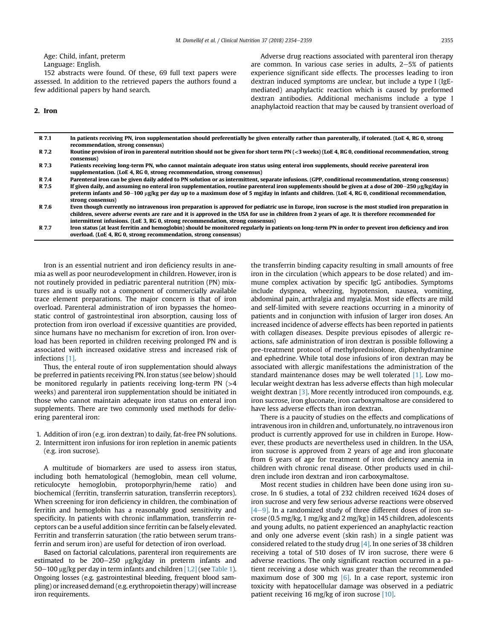Age: Child, infant, preterm

Language: English.

152 abstracts were found. Of these, 69 full text papers were assessed. In addition to the retrieved papers the authors found a few additional papers by hand search.

2. Iron

Adverse drug reactions associated with parenteral iron therapy are common. In various case series in adults,  $2-5%$  of patients experience significant side effects. The processes leading to iron dextran induced symptoms are unclear, but include a type I (IgEmediated) anaphylactic reaction which is caused by preformed dextran antibodies. Additional mechanisms include a type I anaphylactoid reaction that may be caused by transient overload of

| R 7.1 | In patients receiving PN, iron supplementation should preferentially be given enterally rather than parenterally, if tolerated. (LoE 4, RG 0, strong<br>recommendation, strong consensus)                                                                                                                                                                                                |
|-------|------------------------------------------------------------------------------------------------------------------------------------------------------------------------------------------------------------------------------------------------------------------------------------------------------------------------------------------------------------------------------------------|
| R 7.2 | Routine provision of iron in parenteral nutrition should not be given for short term PN (<3 weeks) (LoE 4, RG 0, conditional recommendation, strong<br>consensus)                                                                                                                                                                                                                        |
| R 7.3 | Patients receiving long-term PN, who cannot maintain adequate iron status using enteral iron supplements, should receive parenteral iron<br>supplementation. (LoE 4, RG 0, strong recommendation, strong consensus)                                                                                                                                                                      |
| R 7.4 | Parenteral iron can be given daily added to PN solution or as intermittent, separate infusions. (GPP, conditional recommendation, strong consensus)                                                                                                                                                                                                                                      |
| R 7.5 | If given daily, and assuming no enteral iron supplementation, routine parenteral iron supplements should be given at a dose of 200–250 µg/kg/day in<br>preterm infants and 50–100 µg/kg per day up to a maximum dose of 5 mg/day in infants and children. (LoE 4, RG 0, conditional recommendation,<br>strong consensus)                                                                 |
| R 7.6 | Even though currently no intravenous iron preparation is approved for pediatric use in Europe, iron sucrose is the most studied iron preparation in<br>children, severe adverse events are rare and it is approved in the USA for use in children from 2 years of age. It is therefore recommended for<br>intermittent infusions. (LoE 3, RG 0, strong recommendation, strong consensus) |
| R 7.7 | Iron status (at least ferritin and hemoglobin) should be monitored regularly in patients on long-term PN in order to prevent iron deficiency and iron<br>overload. (LoE 4, RG 0, strong recommendation, strong consensus)                                                                                                                                                                |

Iron is an essential nutrient and iron deficiency results in anemia as well as poor neurodevelopment in children. However, iron is not routinely provided in pediatric parenteral nutrition (PN) mixtures and is usually not a component of commercially available trace element preparations. The major concern is that of iron overload. Parenteral administration of iron bypasses the homeostatic control of gastrointestinal iron absorption, causing loss of protection from iron overload if excessive quantities are provided, since humans have no mechanism for excretion of iron. Iron overload has been reported in children receiving prolonged PN and is associated with increased oxidative stress and increased risk of infections [\[1\].](#page-5-0)

Thus, the enteral route of iron supplementation should always be preferred in patients receiving PN. Iron status (see below) should be monitored regularly in patients receiving long-term  $PN$  ( $>4$ ) weeks) and parenteral iron supplementation should be initiated in those who cannot maintain adequate iron status on enteral iron supplements. There are two commonly used methods for delivering parenteral iron:

- 1. Addition of iron (e.g. iron dextran) to daily, fat-free PN solutions.
- 2. Intermittent iron infusions for iron repletion in anemic patients (e.g. iron sucrose).

A multitude of biomarkers are used to assess iron status, including both hematological (hemoglobin, mean cell volume, reticulocyte hemoglobin, protoporphyrin/heme ratio) and biochemical (ferritin, transferrin saturation, transferrin receptors). When screening for iron deficiency in children, the combination of ferritin and hemoglobin has a reasonably good sensitivity and specificity. In patients with chronic inflammation, transferrin receptors can be a useful addition since ferritin can be falsely elevated. Ferritin and transferrin saturation (the ratio between serum transferrin and serum iron) are useful for detection of iron overload.

Based on factorial calculations, parenteral iron requirements are estimated to be  $200-250$   $\mu$ g/kg/day in preterm infants and  $50-100$  µg/kg per day in term infants and children [\[1,2\]](#page-5-0) (see [Table 1\)](#page-4-0). Ongoing losses (e.g. gastrointestinal bleeding, frequent blood sampling) or increased demand (e.g. erythropoietin therapy) will increase iron requirements.

the transferrin binding capacity resulting in small amounts of free iron in the circulation (which appears to be dose related) and immune complex activation by specific IgG antibodies. Symptoms include dyspnea, wheezing, hypotension, nausea, vomiting, abdominal pain, arthralgia and myalgia. Most side effects are mild and self-limited with severe reactions occurring in a minority of patients and in conjunction with infusion of larger iron doses. An increased incidence of adverse effects has been reported in patients with collagen diseases. Despite previous episodes of allergic reactions, safe administration of iron dextran is possible following a pre-treatment protocol of methylprednisolone, diphenhydramine and ephedrine. While total dose infusions of iron dextran may be associated with allergic manifestations the administration of the standard maintenance doses may be well tolerated [\[1\].](#page-5-0) Low molecular weight dextran has less adverse effects than high molecular weight dextran [\[3\].](#page-5-0) More recently introduced iron compounds, e.g. iron sucrose, iron gluconate, iron carboxymaltose are considered to have less adverse effects than iron dextran.

There is a paucity of studies on the effects and complications of intravenous iron in children and, unfortunately, no intravenous iron product is currently approved for use in children in Europe. However, these products are nevertheless used in children. In the USA, iron sucrose is approved from 2 years of age and iron gluconate from 6 years of age for treatment of iron deficiency anemia in children with chronic renal disease. Other products used in children include iron dextran and iron carboxymaltose.

Most recent studies in children have been done using iron sucrose. In 6 studies, a total of 232 children received 1624 doses of iron sucrose and very few serious adverse reactions were observed  $[4-9]$  $[4-9]$  $[4-9]$ . In a randomized study of three different doses of iron sucrose (0.5 mg/kg, 1 mg/kg and 2 mg/kg) in 145 children, adolescents and young adults, no patient experienced an anaphylactic reaction and only one adverse event (skin rash) in a single patient was considered related to the study drug [\[4\].](#page-5-0) In one series of 38 children receiving a total of 510 doses of IV iron sucrose, there were 6 adverse reactions. The only significant reaction occurred in a patient receiving a dose which was greater than the recommended maximum dose of 300 mg  $[6]$ . In a case report, systemic iron toxicity with hepatocellular damage was observed in a pediatric patient receiving 16 mg/kg of iron sucrose [\[10\].](#page-5-0)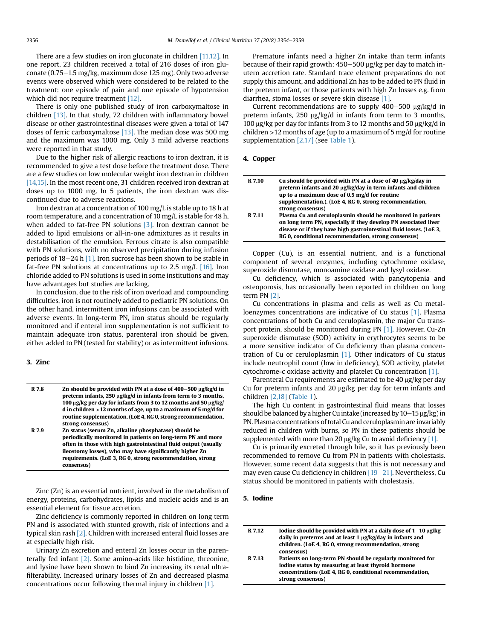There are a few studies on iron gluconate in children [\[11,12\]](#page-5-0). In one report, 23 children received a total of 216 doses of iron gluconate (0.75 $-1.5$  mg/kg, maximum dose 125 mg). Only two adverse events were observed which were considered to be related to the treatment: one episode of pain and one episode of hypotension which did not require treatment [\[12\]](#page-5-0).

There is only one published study of iron carboxymaltose in children [\[13\].](#page-5-0) In that study, 72 children with inflammatory bowel disease or other gastrointestinal diseases were given a total of 147 doses of ferric carboxymaltose  $[13]$ . The median dose was 500 mg and the maximum was 1000 mg. Only 3 mild adverse reactions were reported in that study.

Due to the higher risk of allergic reactions to iron dextran, it is recommended to give a test dose before the treatment dose. There are a few studies on low molecular weight iron dextran in children [\[14,15\].](#page-5-0) In the most recent one, 31 children received iron dextran at doses up to 1000 mg. In 5 patients, the iron dextran was discontinued due to adverse reactions.

Iron dextran at a concentration of 100 mg/L is stable up to 18 h at room temperature, and a concentration of 10 mg/L is stable for 48 h, when added to fat-free PN solutions  $[3]$ . Iron dextran cannot be added to lipid emulsions or all-in-one admixtures as it results in destabilisation of the emulsion. Ferrous citrate is also compatible with PN solutions, with no observed precipitation during infusion periods of  $18-24$  h  $[1]$ . Iron sucrose has been shown to be stable in fat-free PN solutions at concentrations up to 2.5 mg/L  $[16]$ . Iron chloride added to PN solutions is used in some institutions and may have advantages but studies are lacking.

In conclusion, due to the risk of iron overload and compounding difficulties, iron is not routinely added to pediatric PN solutions. On the other hand, intermittent iron infusions can be associated with adverse events. In long-term PN, iron status should be regularly monitored and if enteral iron supplementation is not sufficient to maintain adequate iron status, parenteral iron should be given, either added to PN (tested for stability) or as intermittent infusions.

## 3. Zinc

| R 7.8 | Zn should be provided with PN at a dose of $400-500 \mu g/kg/d$ in<br>preterm infants, 250 $\mu$ g/kg/d in infants from term to 3 months,<br>100 µg/kg per day for infants from 3 to 12 months and 50 µg/kg/<br>d in children > 12 months of age, up to a maximum of 5 mg/d for<br>routine supplementation. (LoE 4, RG 0, strong recommendation, |
|-------|--------------------------------------------------------------------------------------------------------------------------------------------------------------------------------------------------------------------------------------------------------------------------------------------------------------------------------------------------|
|       | strong consensus)                                                                                                                                                                                                                                                                                                                                |
| R 7.9 | Zn status (serum Zn, alkaline phosphatase) should be                                                                                                                                                                                                                                                                                             |
|       | periodically monitored in patients on long-term PN and more                                                                                                                                                                                                                                                                                      |
|       | often in those with high gastrointestinal fluid output (usually                                                                                                                                                                                                                                                                                  |
|       | ileostomy losses), who may have significantly higher Zn                                                                                                                                                                                                                                                                                          |
|       | requirements. (LoE 3, RG 0, strong recommendation, strong                                                                                                                                                                                                                                                                                        |
|       | consensus)                                                                                                                                                                                                                                                                                                                                       |

Zinc (Zn) is an essential nutrient, involved in the metabolism of energy, proteins, carbohydrates, lipids and nucleic acids and is an essential element for tissue accretion.

Zinc deficiency is commonly reported in children on long term PN and is associated with stunted growth, risk of infections and a typical skin rash [\[2\].](#page-5-0) Children with increased enteral fluid losses are at especially high risk.

Urinary Zn excretion and enteral Zn losses occur in the parenterally fed infant [\[2\]](#page-5-0). Some amino-acids like histidine, threonine, and lysine have been shown to bind Zn increasing its renal ultrafilterability. Increased urinary losses of Zn and decreased plasma concentrations occur following thermal injury in children [\[1\]](#page-5-0).

Premature infants need a higher Zn intake than term infants because of their rapid growth:  $450-500 \mu$ g/kg per day to match inutero accretion rate. Standard trace element preparations do not supply this amount, and additional Zn has to be added to PN fluid in the preterm infant, or those patients with high Zn losses e.g. from diarrhea, stoma losses or severe skin disease [\[1\].](#page-5-0)

Current recommendations are to supply  $400-500$   $\mu$ g/kg/d in preterm infants,  $250 \mu g/kg/d$  in infants from term to 3 months, 100  $\mu$ g/kg per day for infants from 3 to 12 months and 50  $\mu$ g/kg/d in children >12 months of age (up to a maximum of 5 mg/d for routine supplementation [\[2,17\]](#page-5-0) (see [Table 1\)](#page-4-0).

# 4. Copper

| R 7.10 | Cu should be provided with PN at a dose of 40 $\mu$ g/kg/day in<br>preterm infants and 20 µg/kg/day in term infants and children<br>up to a maximum dose of 0.5 mg/d for routine                                                                             |
|--------|--------------------------------------------------------------------------------------------------------------------------------------------------------------------------------------------------------------------------------------------------------------|
|        | supplementation.). (LoE 4, RG 0, strong recommendation,<br>strong consensus)                                                                                                                                                                                 |
| R 7.11 | Plasma Cu and ceruloplasmin should be monitored in patients<br>on long term PN, especially if they develop PN associated liver<br>disease or if they have high gastrointestinal fluid losses. (LoE 3,<br>RG 0, conditional recommendation, strong consensus) |

Copper (Cu), is an essential nutrient, and is a functional component of several enzymes, including cytochrome oxidase, superoxide dismutase, monoamine oxidase and lysyl oxidase.

Cu deficiency, which is associated with pancytopenia and osteoporosis, has occasionally been reported in children on long term PN [\[2\]](#page-5-0).

Cu concentrations in plasma and cells as well as Cu metalloenzymes concentrations are indicative of Cu status [\[1\].](#page-5-0) Plasma concentrations of both Cu and ceruloplasmin, the major Cu transport protein, should be monitored during PN [\[1\]](#page-5-0). However, Cu-Zn superoxide dismutase (SOD) activity in erythrocytes seems to be a more sensitive indicator of Cu deficiency than plasma concentration of Cu or ceruloplasmin [\[1\].](#page-5-0) Other indicators of Cu status include neutrophil count (low in deficiency), SOD activity, platelet cytochrome-c oxidase activity and platelet Cu concentration [\[1\].](#page-5-0)

Parenteral Cu requirements are estimated to be 40 µg/kg per day Cu for preterm infants and 20  $\mu$ g/kg per day for term infants and children [\[2,18\]](#page-5-0) ([Table 1\)](#page-4-0).

The high Cu content in gastrointestinal fluid means that losses should be balanced by a higher Cu intake (increased by  $10-15$  µg/kg) in PN. Plasma concentrations of total Cu and ceruloplasmin are invariably reduced in children with burns, so PN in these patients should be supplemented with more than 20  $\mu$ g/kg Cu to avoid deficiency [\[1\].](#page-5-0)

Cu is primarily excreted through bile, so it has previously been recommended to remove Cu from PN in patients with cholestasis. However, some recent data suggests that this is not necessary and may even cause Cu deficiency in children  $[19-21]$  $[19-21]$ . Nevertheless, Cu status should be monitored in patients with cholestasis.

## 5. Iodine

| R 7.12 | Iodine should be provided with PN at a daily dose of $1-10 \mu$ g/kg |
|--------|----------------------------------------------------------------------|
|        | daily in preterms and at least 1 $\mu$ g/kg/day in infants and       |
|        | children. (LoE 4, RG 0, strong recommendation, strong                |
|        | consensus)                                                           |
| R 7.13 | Patients on long-term PN should be regularly monitored for           |
|        | jodine status by measuring at least thyroid hormone                  |

iodine status by measuring at least thyroid hormone concentrations (LoE 4, RG 0, conditional recommendation, strong consensus)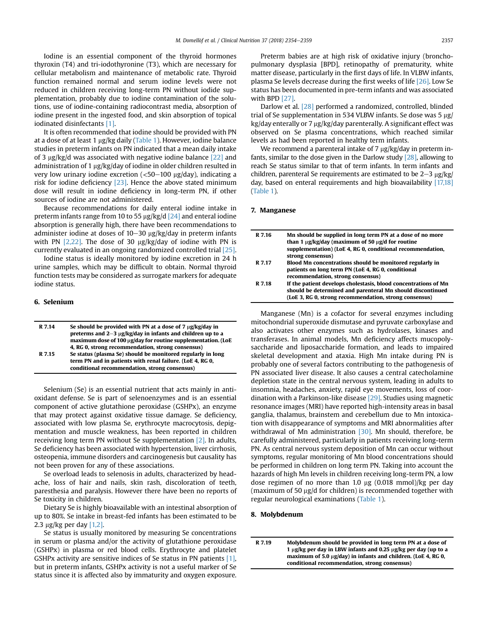Iodine is an essential component of the thyroid hormones thyroxin (T4) and tri-iodothyronine (T3), which are necessary for cellular metabolism and maintenance of metabolic rate. Thyroid function remained normal and serum iodine levels were not reduced in children receiving long-term PN without iodide supplementation, probably due to iodine contamination of the solutions, use of iodine-containing radiocontrast media, absorption of iodine present in the ingested food, and skin absorption of topical iodinated disinfectants [\[1\]](#page-5-0).

It is often recommended that iodine should be provided with PN at a dose of at least 1 µg/kg daily [\(Table 1\)](#page-4-0). However, iodine balance studies in preterm infants on PN indicated that a mean daily intake of 3  $\mu$ g/kg/d was associated with negative iodine balance [\[22\]](#page-5-0) and administration of 1  $\mu$ g/kg/day of iodine in older children resulted in very low urinary iodine excretion  $\left( < 50 - 100 \right)$  ug/day), indicating a risk for iodine deficiency [\[23\]](#page-5-0). Hence the above stated minimum dose will result in iodine deficiency in long-term PN, if other sources of iodine are not administered.

Because recommendations for daily enteral iodine intake in preterm infants range from 10 to 55  $\mu$ g/kg/d [\[24\]](#page-5-0) and enteral iodine absorption is generally high, there have been recommendations to administer iodine at doses of  $10-30 \mu g/kg/day$  in preterm infants with PN  $[2,22]$ . The dose of 30  $\mu$ g/kg/day of iodine with PN is currently evaluated in an ongoing randomized controlled trial [\[25\].](#page-5-0)

Iodine status is ideally monitored by iodine excretion in 24 h urine samples, which may be difficult to obtain. Normal thyroid function tests may be considered as surrogate markers for adequate iodine status.

## 6. Selenium

| R 7.14 | Se should be provided with PN at a dose of 7 $\mu$ g/kg/day in<br>preterms and $2-3 \mu g/kg/day$ in infants and children up to a<br>maximum dose of 100 µg/day for routine supplementation. (LoE<br>4, RG 0, strong recommendation, strong consensus) |
|--------|--------------------------------------------------------------------------------------------------------------------------------------------------------------------------------------------------------------------------------------------------------|
| R 7.15 | Se status (plasma Se) should be monitored regularly in long<br>term PN and in patients with renal failure. (LoE 4, RG 0,<br>conditional recommendation, strong consensus)                                                                              |

Selenium (Se) is an essential nutrient that acts mainly in antioxidant defense. Se is part of selenoenzymes and is an essential component of active glutathione peroxidase (GSHPx), an enzyme that may protect against oxidative tissue damage. Se deficiency, associated with low plasma Se, erythrocyte macrocytosis, depigmentation and muscle weakness, has been reported in children receiving long term PN without Se supplementation [\[2\]](#page-5-0). In adults, Se deficiency has been associated with hypertension, liver cirrhosis, osteopenia, immune disorders and carcinogenesis but causality has not been proven for any of these associations.

Se overload leads to selenosis in adults, characterized by headache, loss of hair and nails, skin rash, discoloration of teeth, paresthesia and paralysis. However there have been no reports of Se toxicity in children.

Dietary Se is highly bioavailable with an intestinal absorption of up to 80%. Se intake in breast-fed infants has been estimated to be 2.3  $\mu$ g/kg per day [\[1,2\].](#page-5-0)

Se status is usually monitored by measuring Se concentrations in serum or plasma and/or the activity of glutathione peroxidase (GSHPx) in plasma or red blood cells. Erythrocyte and platelet GSHPx activity are sensitive indices of Se status in PN patients [\[1\],](#page-5-0) but in preterm infants, GSHPx activity is not a useful marker of Se status since it is affected also by immaturity and oxygen exposure.

Preterm babies are at high risk of oxidative injury (bronchopulmonary dysplasia [BPD], retinopathy of prematurity, white matter disease, particularly in the first days of life. In VLBW infants, plasma Se levels decrease during the first weeks of life [\[26\]](#page-5-0). Low Se status has been documented in pre-term infants and was associated with BPD [\[27\].](#page-5-0)

Darlow et al. [\[28\]](#page-5-0) performed a randomized, controlled, blinded trial of Se supplementation in 534 VLBW infants. Se dose was 5  $\mu$ g/  $kg/day$  enterally or 7  $\mu$ g/kg/day parenterally. A significant effect was observed on Se plasma concentrations, which reached similar levels as had been reported in healthy term infants.

We recommend a parenteral intake of  $7 \mu g/kg/day$  in preterm infants, similar to the dose given in the Darlow study [\[28\],](#page-5-0) allowing to reach Se status similar to that of term infants. In term infants and children, parenteral Se requirements are estimated to be  $2-3 \mu$ g/kg/ day, based on enteral requirements and high bioavailability [\[17,18\]](#page-5-0) [\(Table 1](#page-4-0)).

#### 7. Manganese

| R 7.16 | Mn should be supplied in long term PN at a dose of no more<br>than 1 $\mu$ g/kg/day (maximum of 50 $\mu$ g/d for routine<br>supplementation) (LoE 4, RG 0, conditional recommendation,<br>strong consensus) |
|--------|-------------------------------------------------------------------------------------------------------------------------------------------------------------------------------------------------------------|
| R 7.17 | Blood Mn concentrations should be monitored regularly in<br>patients on long term PN (LoE 4, RG 0, conditional<br>recommendation, strong consensus)                                                         |
| R 7.18 | If the patient develops cholestasis, blood concentrations of Mn<br>should be determined and parenteral Mn should discontinued<br>(LoE 3, RG 0, strong recommendation, strong consensus)                     |

Manganese (Mn) is a cofactor for several enzymes including mitochondrial superoxide dismutase and pyruvate carboxylase and also activates other enzymes such as hydrolases, kinases and transferases. In animal models, Mn deficiency affects mucopolysaccharide and liposaccharide formation, and leads to impaired skeletal development and ataxia. High Mn intake during PN is probably one of several factors contributing to the pathogenesis of PN associated liver disease. It also causes a central catecholamine depletion state in the central nervous system, leading in adults to insomnia, headaches, anxiety, rapid eye movements, loss of coordination with a Parkinson-like disease [\[29\].](#page-5-0) Studies using magnetic resonance images (MRI) have reported high-intensity areas in basal ganglia, thalamus, brainstem and cerebellum due to Mn intoxication with disappearance of symptoms and MRI abnormalities after withdrawal of Mn administration [\[30\]](#page-5-0). Mn should, therefore, be carefully administered, particularly in patients receiving long-term PN. As central nervous system deposition of Mn can occur without symptoms, regular monitoring of Mn blood concentrations should be performed in children on long term PN. Taking into account the hazards of high Mn levels in children receiving long-term PN, a low dose regimen of no more than 1.0  $\mu$ g (0.018 mmol)/kg per day (maximum of 50  $\mu$ g/d for children) is recommended together with regular neurological examinations ([Table 1\)](#page-4-0).

#### 8. Molybdenum

R 7.19 Molybdenum should be provided in long term PN at a dose of 1  $\mu$ g/kg per day in LBW infants and 0.25  $\mu$ g/kg per day (up to a maximum of 5.0  $\mu$ g/day) in infants and children. (LoE 4, RG 0, conditional recommendation, strong consensus)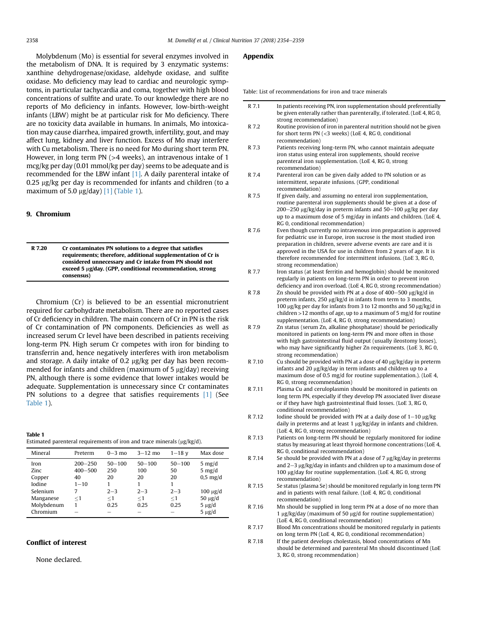<span id="page-4-0"></span>Molybdenum (Mo) is essential for several enzymes involved in the metabolism of DNA. It is required by 3 enzymatic systems: xanthine dehydrogenase/oxidase, aldehyde oxidase, and sulfite oxidase. Mo deficiency may lead to cardiac and neurologic symptoms, in particular tachycardia and coma, together with high blood concentrations of sulfite and urate. To our knowledge there are no reports of Mo deficiency in infants. However, low-birth-weight infants (LBW) might be at particular risk for Mo deficiency. There are no toxicity data available in humans. In animals, Mo intoxication may cause diarrhea, impaired growth, infertility, gout, and may affect lung, kidney and liver function. Excess of Mo may interfere with Cu metabolism. There is no need for Mo during short term PN. However, in long term PN (>4 weeks), an intravenous intake of 1 mcg/kg per day (0.01 mmol/kg per day) seems to be adequate and is recommended for the LBW infant [\[1\].](#page-5-0) A daily parenteral intake of  $0.25$  ug/kg per day is recommended for infants and children (to a maximum of 5.0  $\mu$ g/day) [\[1\]](#page-5-0) (Table 1).

# 9. Chromium

R 7.20 Cr contaminates PN solutions to a degree that satisfies requirements; therefore, additional supplementation of Cr is considered unnecessary and Cr intake from PN should not exceed 5 µg/day. (GPP, conditional recommendation, strong consensus)

Chromium (Cr) is believed to be an essential micronutrient required for carbohydrate metabolism. There are no reported cases of Cr deficiency in children. The main concern of Cr in PN is the risk of Cr contamination of PN components. Deficiencies as well as increased serum Cr level have been described in patients receiving long-term PN. High serum Cr competes with iron for binding to transferrin and, hence negatively interferes with iron metabolism and storage. A daily intake of 0.2  $\mu$ g/kg per day has been recommended for infants and children (maximum of  $5 \mu g/day$ ) receiving PN, although there is some evidence that lower intakes would be adequate. Supplementation is unnecessary since Cr contaminates PN solutions to a degree that satisfies requirements [\[1\]](#page-5-0) (See Table 1).

Table 1 Estimated parenteral requirements of iron and trace minerals ( $\mu$ g/kg/d).

| Mineral                                       | Preterm                                           | $0-3$ mo                           | $3 - 12$ mo                        | $1 - 18$ v                             | Max dose                                                                 |
|-----------------------------------------------|---------------------------------------------------|------------------------------------|------------------------------------|----------------------------------------|--------------------------------------------------------------------------|
| Iron<br>Zinc.<br>Copper<br>Iodine<br>Selenium | $200 - 250$<br>$400 - 500$<br>40<br>$1 - 10$<br>7 | $50 - 100$<br>250<br>20<br>$2 - 3$ | $50 - 100$<br>100<br>20<br>$2 - 3$ | $50 - 100$<br>50<br>20<br>1<br>$2 - 3$ | $5 \text{ mg/d}$<br>$5 \text{ mg/d}$<br>$0.5$ mg/d<br>$100 \text{ µg}/d$ |
| Manganese<br>Molybdenum<br>Chromium           | $<$ 1                                             | $<$ 1<br>0.25                      | $\leq$ 1<br>0.25                   | $<$ 1<br>0.25                          | $50 \mu g/d$<br>$5 \mu g/d$<br>$5 \mu g/d$                               |

# Conflict of interest

None declared.

## Appendix

Table: List of recommendations for iron and trace minerals

| R 7.1  | In patients receiving PN, iron supplementation should preferentially<br>be given enterally rather than parenterally, if tolerated. (LoE 4, RG 0,                                                                                                                                                                                                                                |
|--------|---------------------------------------------------------------------------------------------------------------------------------------------------------------------------------------------------------------------------------------------------------------------------------------------------------------------------------------------------------------------------------|
| R 7.2  | strong recommendation)<br>Routine provision of iron in parenteral nutrition should not be given                                                                                                                                                                                                                                                                                 |
|        | for short term $PN$ (<3 weeks) (LoE 4, RG 0, conditional<br>recommendation)                                                                                                                                                                                                                                                                                                     |
| R 7.3  | Patients receiving long-term PN, who cannot maintain adequate                                                                                                                                                                                                                                                                                                                   |
|        | iron status using enteral iron supplements, should receive<br>parenteral iron supplementation. (LoE 4, RG 0, strong                                                                                                                                                                                                                                                             |
|        | recommendation)                                                                                                                                                                                                                                                                                                                                                                 |
| R 7.4  | Parenteral iron can be given daily added to PN solution or as<br>intermittent, separate infusions. (GPP, conditional                                                                                                                                                                                                                                                            |
| R 7.5  | recommendation)<br>If given daily, and assuming no enteral iron supplementation,                                                                                                                                                                                                                                                                                                |
|        | routine parenteral iron supplements should be given at a dose of<br>$200-250$ µg/kg/day in preterm infants and $50-100$ µg/kg per day<br>up to a maximum dose of 5 mg/day in infants and children. (LoE 4,                                                                                                                                                                      |
|        | RG 0, conditional recommendation)                                                                                                                                                                                                                                                                                                                                               |
| R 7.6  | Even though currently no intravenous iron preparation is approved<br>for pediatric use in Europe, iron sucrose is the most studied iron<br>preparation in children, severe adverse events are rare and it is<br>approved in the USA for use in children from 2 years of age. It is<br>therefore recommended for intermittent infusions. (LoE 3, RG 0,<br>strong recommendation) |
| R 7.7  | Iron status (at least ferritin and hemoglobin) should be monitored<br>regularly in patients on long-term PN in order to prevent iron                                                                                                                                                                                                                                            |
| R 7.8  | deficiency and iron overload. (LoE 4, RG 0, strong recommendation)<br>Zn should be provided with PN at a dose of $400-500 \mu g/kg/d$ in                                                                                                                                                                                                                                        |
|        | preterm infants, 250 $\mu$ g/kg/d in infants from term to 3 months,<br>100 μg/kg per day for infants from 3 to 12 months and 50 μg/kg/d in<br>children $>$ 12 months of age, up to a maximum of 5 mg/d for routine                                                                                                                                                              |
| R 7.9  | supplementation. (LoE 4, RG 0, strong recommendation)<br>Zn status (serum Zn, alkaline phosphatase) should be periodically<br>monitored in patients on long-term PN and more often in those                                                                                                                                                                                     |
|        | with high gastrointestinal fluid output (usually ileostomy losses),<br>who may have significantly higher Zn requirements. (LoE 3, RG 0,<br>strong recommendation)                                                                                                                                                                                                               |
| R 7.10 | Cu should be provided with PN at a dose of 40 µg/kg/day in preterm<br>infants and 20 µg/kg/day in term infants and children up to a<br>maximum dose of 0.5 mg/d for routine supplementation.). (LoE 4,<br>RG 0, strong recommendation)                                                                                                                                          |
| R 7.11 | Plasma Cu and ceruloplasmin should be monitored in patients on<br>long term PN, especially if they develop PN associated liver disease<br>or if they have high gastrointestinal fluid losses. (LoE 3, RG 0,<br>conditional recommendation)                                                                                                                                      |
| R 7.12 | Iodine should be provided with PN at a daily dose of $1-10 \mu g/kg$<br>daily in preterms and at least $1 \mu g/kg/day$ in infants and children.<br>(LoE 4, RG 0, strong recommendation)                                                                                                                                                                                        |
| R 7.13 | Patients on long-term PN should be regularly monitored for iodine<br>status by measuring at least thyroid hormone concentrations (LoE 4,<br>RG 0, conditional recommendation)                                                                                                                                                                                                   |
| R 7.14 | Se should be provided with PN at a dose of 7 µg/kg/day in preterms<br>and $2-3$ $\mu$ g/kg/day in infants and children up to a maximum dose of<br>100 µg/day for routine supplementation. (LoE 4, RG 0, strong<br>recommendation)                                                                                                                                               |
| R 7.15 | Se status (plasma Se) should be monitored regularly in long term PN<br>and in patients with renal failure. (LoE 4, RG 0, conditional<br>recommendation)                                                                                                                                                                                                                         |
| R 7.16 | Mn should be supplied in long term PN at a dose of no more than<br>1 $\mu$ g/kg/day (maximum of 50 $\mu$ g/d for routine supplementation)<br>(LoE 4, RG 0, conditional recommendation)                                                                                                                                                                                          |
| R 7.17 | Blood Mn concentrations should be monitored regularly in patients<br>on long term PN (LoE 4, RG 0, conditional recommendation)                                                                                                                                                                                                                                                  |
| R 7.18 | If the patient develops cholestasis, blood concentrations of Mn<br>should be determined and parenteral Mn should discontinued (LoE<br>3, RG 0, strong recommendation)                                                                                                                                                                                                           |